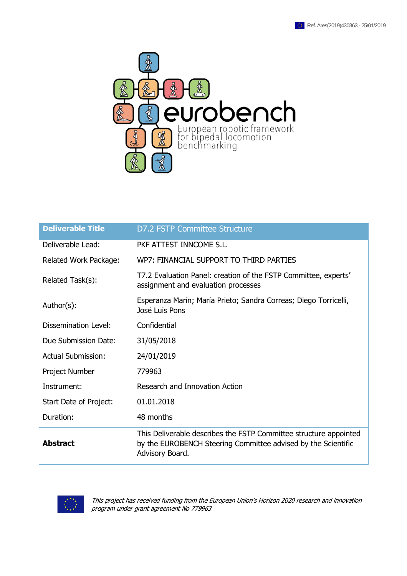

| <b>Deliverable Title</b>  | <b>D7.2 FSTP Committee Structure</b>                                                                                                                  |
|---------------------------|-------------------------------------------------------------------------------------------------------------------------------------------------------|
| Deliverable Lead:         | PKF ATTEST INNCOME S.L.                                                                                                                               |
| Related Work Package:     | WP7: FINANCIAL SUPPORT TO THIRD PARTIES                                                                                                               |
| Related Task(s):          | T7.2 Evaluation Panel: creation of the FSTP Committee, experts'<br>assignment and evaluation processes                                                |
| Author(s):                | Esperanza Marín; María Prieto; Sandra Correas; Diego Torricelli,<br>José Luis Pons                                                                    |
| Dissemination Level:      | Confidential                                                                                                                                          |
| Due Submission Date:      | 31/05/2018                                                                                                                                            |
| <b>Actual Submission:</b> | 24/01/2019                                                                                                                                            |
| Project Number            | 779963                                                                                                                                                |
| Instrument:               | Research and Innovation Action                                                                                                                        |
| Start Date of Project:    | 01.01.2018                                                                                                                                            |
| Duration:                 | 48 months                                                                                                                                             |
| <b>Abstract</b>           | This Deliverable describes the FSTP Committee structure appointed<br>by the EUROBENCH Steering Committee advised by the Scientific<br>Advisory Board. |



This project has received funding from the European Union's Horizon 2020 research and innovation program under grant agreement No 779963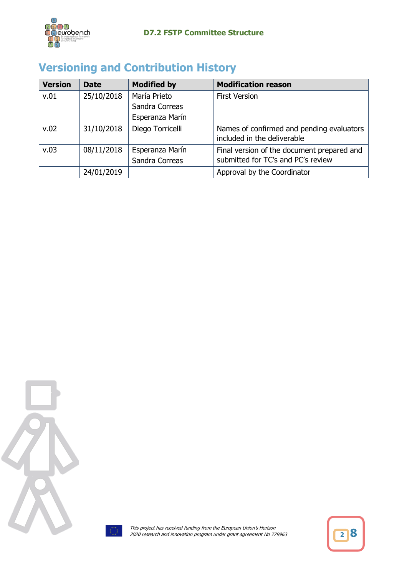

## **Versioning and Contribution History**

| <b>Version</b> | <b>Date</b> | <b>Modified by</b> | <b>Modification reason</b>                                               |
|----------------|-------------|--------------------|--------------------------------------------------------------------------|
| v.01           | 25/10/2018  | María Prieto       | <b>First Version</b>                                                     |
|                |             | Sandra Correas     |                                                                          |
|                |             | Esperanza Marín    |                                                                          |
| v.02           | 31/10/2018  | Diego Torricelli   | Names of confirmed and pending evaluators<br>included in the deliverable |
| v.03           | 08/11/2018  | Esperanza Marín    | Final version of the document prepared and                               |
|                |             | Sandra Correas     | submitted for TC's and PC's review                                       |
|                | 24/01/2019  |                    | Approval by the Coordinator                                              |





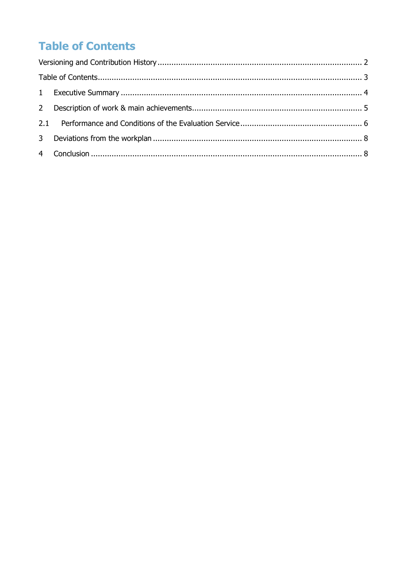# **Table of Contents**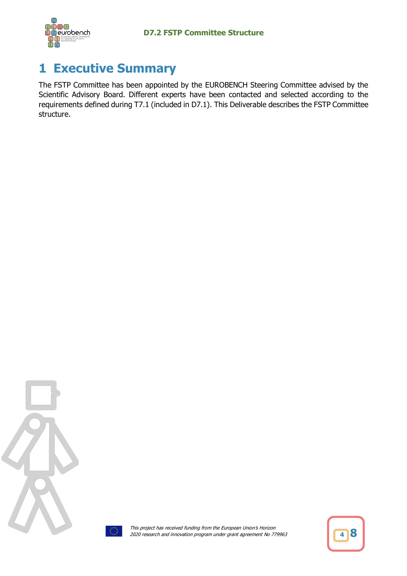

## **1 Executive Summary**

The FSTP Committee has been appointed by the EUROBENCH Steering Committee advised by the Scientific Advisory Board. Different experts have been contacted and selected according to the requirements defined during T7.1 (included in D7.1). This Deliverable describes the FSTP Committee structure.





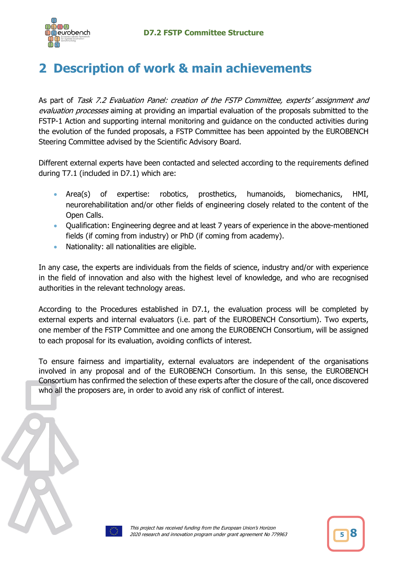

## **2 Description of work & main achievements**

As part of Task 7.2 Evaluation Panel: creation of the FSTP Committee, experts' assignment and evaluation processes aiming at providing an impartial evaluation of the proposals submitted to the FSTP-1 Action and supporting internal monitoring and guidance on the conducted activities during the evolution of the funded proposals, a FSTP Committee has been appointed by the EUROBENCH Steering Committee advised by the Scientific Advisory Board.

Different external experts have been contacted and selected according to the requirements defined during T7.1 (included in D7.1) which are:

- Area(s) of expertise: robotics, prosthetics, humanoids, biomechanics, HMI, neurorehabilitation and/or other fields of engineering closely related to the content of the Open Calls.
- Qualification: Engineering degree and at least 7 years of experience in the above-mentioned fields (if coming from industry) or PhD (if coming from academy).
- Nationality: all nationalities are eligible.

In any case, the experts are individuals from the fields of science, industry and/or with experience in the field of innovation and also with the highest level of knowledge, and who are recognised authorities in the relevant technology areas.

According to the Procedures established in D7.1, the evaluation process will be completed by external experts and internal evaluators (i.e. part of the EUROBENCH Consortium). Two experts, one member of the FSTP Committee and one among the EUROBENCH Consortium, will be assigned to each proposal for its evaluation, avoiding conflicts of interest.

To ensure fairness and impartiality, external evaluators are independent of the organisations involved in any proposal and of the EUROBENCH Consortium. In this sense, the EUROBENCH Consortium has confirmed the selection of these experts after the closure of the call, once discovered who all the proposers are, in order to avoid any risk of conflict of interest.

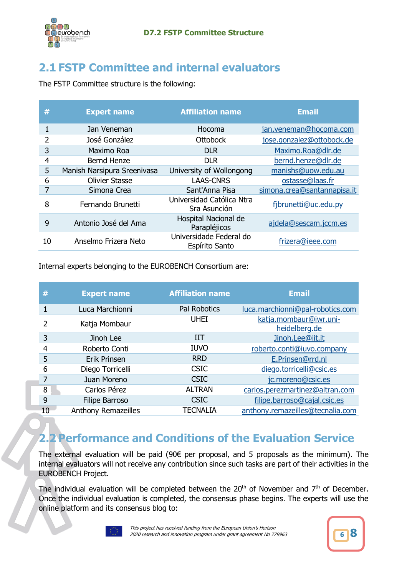

#### **2.1 FSTP Committee and internal evaluators**

The FSTP Committee structure is the following:

| #  | <b>Expert name</b>          | <b>Affiliation name</b>                   | <b>Email</b>                |
|----|-----------------------------|-------------------------------------------|-----------------------------|
| 1  | Jan Veneman                 | Hocoma                                    | jan.veneman@hocoma.com      |
| 2  | José González               | <b>Ottobock</b>                           | jose.gonzalez@ottobock.de   |
| 3  | Maximo Roa                  | <b>DLR</b>                                | Maximo.Roa@dlr.de           |
| 4  | <b>Bernd Henze</b>          | <b>DLR</b>                                | bernd.henze@dlr.de          |
| 5  | Manish Narsipura Sreenivasa | University of Wollongong                  | manishs@uow.edu.au          |
| 6  | <b>Olivier Stasse</b>       | <b>LAAS-CNRS</b>                          | ostasse@laas.fr             |
| 7  | Simona Crea                 | Sant'Anna Pisa                            | simona.crea@santannapisa.it |
| 8  | Fernando Brunetti           | Universidad Católica Ntra<br>Sra Asunción | fjbrunetti@uc.edu.py        |
| 9  | Antonio José del Ama        | Hospital Nacional de<br>Parapléjicos      | ajdela@sescam.jccm.es       |
| 10 | Anselmo Frizera Neto        | Universidade Federal do<br>Espírito Santo | frizera@ieee.com            |

Internal experts belonging to the EUROBENCH Consortium are:

| #  | <b>Expert name</b>         | <b>Affiliation name</b> | <b>Email</b>                            |
|----|----------------------------|-------------------------|-----------------------------------------|
|    | Luca Marchionni            | <b>Pal Robotics</b>     | luca.marchionni@pal-robotics.com        |
| 2  | Katja Mombaur              | <b>UHEI</b>             | katja.mombaur@iwr.uni-<br>heidelberg.de |
| 3  | Jinoh Lee                  | IIT                     | Jinoh.Lee@iit.it                        |
| 4  | Roberto Conti              | <b>IUVO</b>             | roberto.conti@iuvo.company              |
| 5  | <b>Erik Prinsen</b>        | <b>RRD</b>              | E.Prinsen@rrd.nl                        |
| 6  | Diego Torricelli           | <b>CSIC</b>             | diego.torricelli@csic.es                |
| 7  | Juan Moreno                | <b>CSIC</b>             | jc.moreno@csic.es                       |
| 8  | Carlos Pérez               | <b>ALTRAN</b>           | carlos.perezmartinez@altran.com         |
| 9  | Filipe Barroso             | <b>CSIC</b>             | filipe.barroso@cajal.csic.es            |
| 10 | <b>Anthony Remazeilles</b> | <b>TECNALIA</b>         | anthony.remazeilles@tecnalia.com        |

#### **2.2 Performance and Conditions of the Evaluation Service**

The external evaluation will be paid (90€ per proposal, and 5 proposals as the minimum). The internal evaluators will not receive any contribution since such tasks are part of their activities in the EUROBENCH Project.

The individual evaluation will be completed between the  $20<sup>th</sup>$  of November and  $7<sup>th</sup>$  of December. Once the individual evaluation is completed, the consensus phase begins. The experts will use the online platform and its consensus blog to:



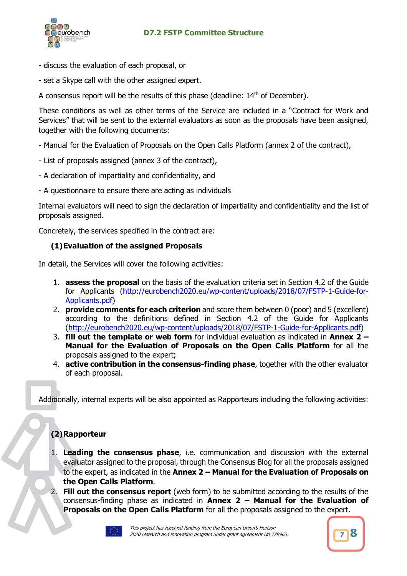

- discuss the evaluation of each proposal, or
- set a Skype call with the other assigned expert.

A consensus report will be the results of this phase (deadline:  $14<sup>th</sup>$  of December).

These conditions as well as other terms of the Service are included in a "Contract for Work and Services" that will be sent to the external evaluators as soon as the proposals have been assigned, together with the following documents:

- Manual for the Evaluation of Proposals on the Open Calls Platform (annex 2 of the contract),
- List of proposals assigned (annex 3 of the contract),
- A declaration of impartiality and confidentiality, and
- A questionnaire to ensure there are acting as individuals

Internal evaluators will need to sign the declaration of impartiality and confidentiality and the list of proposals assigned.

Concretely, the services specified in the contract are:

#### **(1)Evaluation of the assigned Proposals**

In detail, the Services will cover the following activities:

- 1. **assess the proposal** on the basis of the evaluation criteria set in Section 4.2 of the Guide for Applicants (http://eurobench2020.eu/wp-content/uploads/2018/07/FSTP-1-Guide-for-Applicants.pdf)
- 2. **provide comments for each criterion** and score them between 0 (poor) and 5 (excellent) according to the definitions defined in Section 4.2 of the Guide for Applicants (http://eurobench2020.eu/wp-content/uploads/2018/07/FSTP-1-Guide-for-Applicants.pdf)
- 3. **fill out the template or web form** for individual evaluation as indicated in **Annex 2 – Manual for the Evaluation of Proposals on the Open Calls Platform** for all the proposals assigned to the expert;
- 4. **active contribution in the consensus-finding phase**, together with the other evaluator of each proposal.

Additionally, internal experts will be also appointed as Rapporteurs including the following activities:

#### **(2)Rapporteur**

- 1. **Leading the consensus phase**, i.e. communication and discussion with the external evaluator assigned to the proposal, through the Consensus Blog for all the proposals assigned to the expert, as indicated in the **Annex 2 – Manual for the Evaluation of Proposals on the Open Calls Platform**.
- 2. **Fill out the consensus report** (web form) to be submitted according to the results of the consensus-finding phase as indicated in **Annex 2 – Manual for the Evaluation of Proposals on the Open Calls Platform** for all the proposals assigned to the expert.